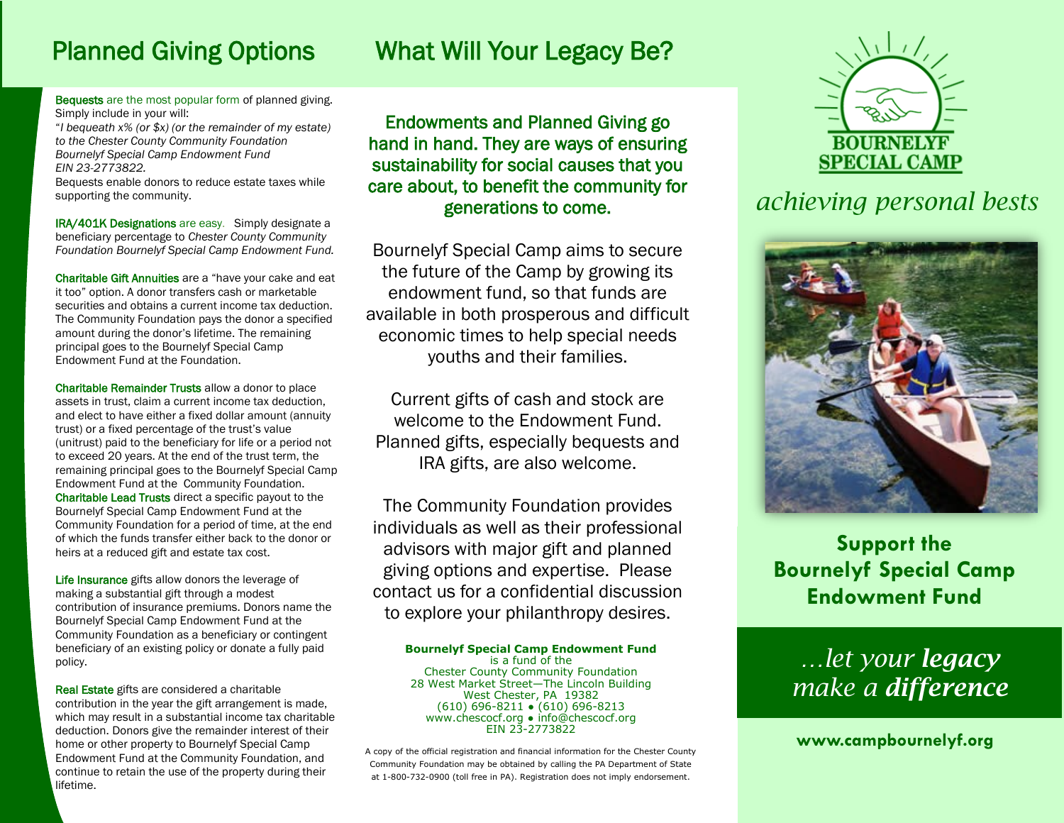# Planned Giving Options What Will Your Legacy Be?

Bequests are the most popular form of planned giving. Simply include in your will:

"*I bequeath x% (or \$x) (or the remainder of my estate) to the Chester County Community Foundation Bournelyf Special Camp Endowment Fund EIN 23-2773822.* 

Bequests enable donors to reduce estate taxes while supporting the community.

IRA/401K Designations are easy. Simply designate a beneficiary percentage to *Chester County Community Foundation Bournelyf Special Camp Endowment Fund.* 

Charitable Gift Annuities are a "have your cake and eat it too" option. A donor transfers cash or marketable securities and obtains a current income tax deduction. The Community Foundation pays the donor a specified amount during the donor's lifetime. The remaining principal goes to the Bournelyf Special Camp Endowment Fund at the Foundation.

Charitable Remainder Trusts allow a donor to place assets in trust, claim a current income tax deduction, and elect to have either a fixed dollar amount (annuity trust) or a fixed percentage of the trust's value (unitrust) paid to the beneficiary for life or a period not to exceed 20 years. At the end of the trust term, the remaining principal goes to the Bournelyf Special Camp Endowment Fund at the Community Foundation. Charitable Lead Trusts direct a specific payout to the Bournelyf Special Camp Endowment Fund at the Community Foundation for a period of time, at the end of which the funds transfer either back to the donor or heirs at a reduced gift and estate tax cost.

Life Insurance gifts allow donors the leverage of making a substantial gift through a modest contribution of insurance premiums. Donors name the Bournelyf Special Camp Endowment Fund at the Community Foundation as a beneficiary or contingent beneficiary of an existing policy or donate a fully paid policy.

Real Estate gifts are considered a charitable contribution in the year the gift arrangement is made, which may result in a substantial income tax charitable deduction. Donors give the remainder interest of their home or other property to Bournelyf Special Camp Endowment Fund at the Community Foundation, and continue to retain the use of the property during their lifetime.

### Endowments and Planned Giving go hand in hand. They are ways of ensuring sustainability for social causes that you care about, to benefit the community for generations to come.

Bournelyf Special Camp aims to secure the future of the Camp by growing its endowment fund, so that funds are available in both prosperous and difficult economic times to help special needs youths and their families.

Current gifts of cash and stock are welcome to the Endowment Fund. Planned gifts, especially bequests and IRA gifts, are also welcome.

The Community Foundation provides individuals as well as their professional advisors with major gift and planned giving options and expertise. Please contact us for a confidential discussion to explore your philanthropy desires.

### **Bournelyf Special Camp Endowment Fund**

is a fund of the Chester County Community Foundation 28 West Market Street—The Lincoln Building West Chester, PA 19382 (610) 696-8211 ● (610) 696-8213 www.chescocf.org • info@chescocf.org EIN 23-2773822

A copy of the official registration and financial information for the Chester County Community Foundation may be obtained by calling the PA Department of State at 1-800-732-0900 (toll free in PA). Registration does not imply endorsement.



## *achieving personal bests*



**Support the Bournelyf Special Camp Endowment Fund**

## *…let your legacy make a difference*

**www.campbournelyf.org**